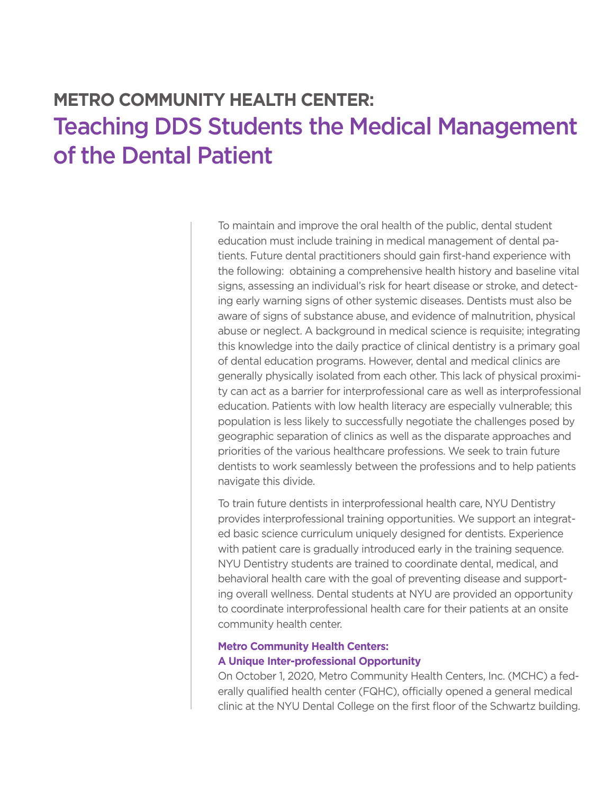## **METRO COMMUNITY HEALTH CENTER:** Teaching DDS Students the Medical Management of the Dental Patient

To maintain and improve the oral health of the public, dental student education must include training in medical management of dental patients. Future dental practitioners should gain first-hand experience with the following: obtaining a comprehensive health history and baseline vital signs, assessing an individual's risk for heart disease or stroke, and detecting early warning signs of other systemic diseases. Dentists must also be aware of signs of substance abuse, and evidence of malnutrition, physical abuse or neglect. A background in medical science is requisite; integrating this knowledge into the daily practice of clinical dentistry is a primary goal of dental education programs. However, dental and medical clinics are generally physically isolated from each other. This lack of physical proximity can act as a barrier for interprofessional care as well as interprofessional education. Patients with low health literacy are especially vulnerable; this population is less likely to successfully negotiate the challenges posed by geographic separation of clinics as well as the disparate approaches and priorities of the various healthcare professions. We seek to train future dentists to work seamlessly between the professions and to help patients navigate this divide.

To train future dentists in interprofessional health care, NYU Dentistry provides interprofessional training opportunities. We support an integrated basic science curriculum uniquely designed for dentists. Experience with patient care is gradually introduced early in the training sequence. NYU Dentistry students are trained to coordinate dental, medical, and behavioral health care with the goal of preventing disease and supporting overall wellness. Dental students at NYU are provided an opportunity to coordinate interprofessional health care for their patients at an onsite community health center.

## **Metro Community Health Centers:**

## **A Unique Inter-professional Opportunity**

On October 1, 2020, Metro Community Health Centers, Inc. (MCHC) a federally qualified health center (FQHC), officially opened a general medical clinic at the NYU Dental College on the first floor of the Schwartz building.